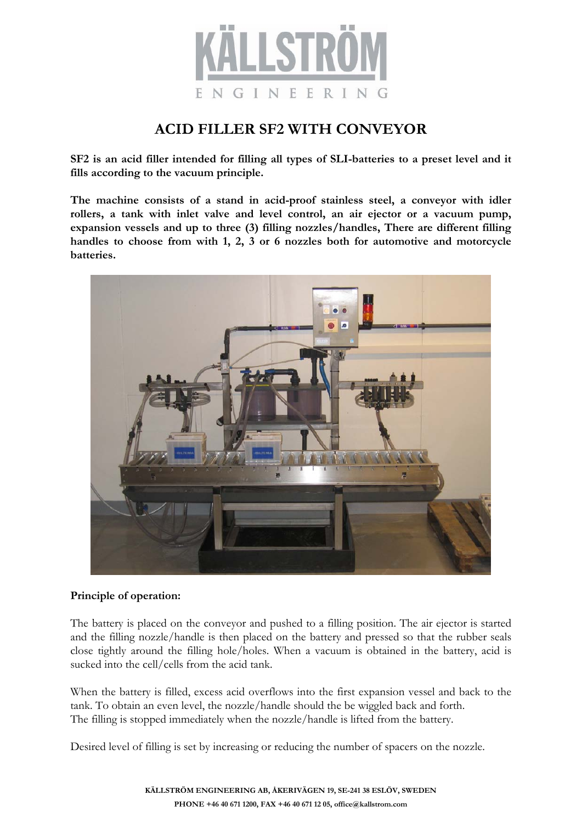

## **ACID FILLER SF2 WITH CONVEYOR**

**SF2 is an acid filler intended for filling all types of SLI-batteries to a preset level and it fills according to the vacuum principle.** 

**The machine consists of a stand in acid-proof stainless steel, a conveyor with idler rollers, a tank with inlet valve and level control, an air ejector or a vacuum pump, expansion vessels and up to three (3) filling nozzles/handles, There are different filling handles to choose from with 1, 2, 3 or 6 nozzles both for automotive and motorcycle batteries.**



### **Principle of operation:**

The battery is placed on the conveyor and pushed to a filling position. The air ejector is started and the filling nozzle/handle is then placed on the battery and pressed so that the rubber seals close tightly around the filling hole/holes. When a vacuum is obtained in the battery, acid is sucked into the cell/cells from the acid tank.

When the battery is filled, excess acid overflows into the first expansion vessel and back to the tank. To obtain an even level, the nozzle/handle should the be wiggled back and forth. The filling is stopped immediately when the nozzle/handle is lifted from the battery.

Desired level of filling is set by increasing or reducing the number of spacers on the nozzle.